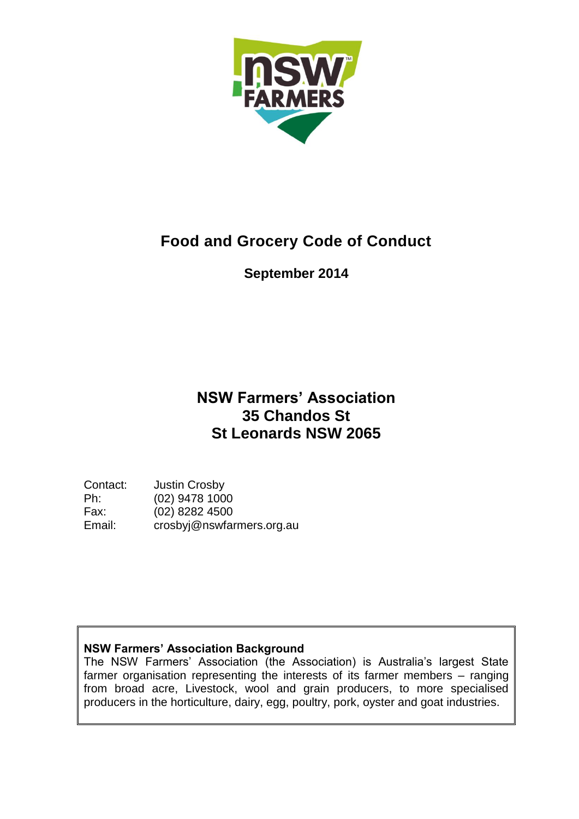

# **Food and Grocery Code of Conduct**

## **September 2014**

# **NSW Farmers' Association 35 Chandos St St Leonards NSW 2065**

Contact: Justin Crosby<br>Ph: (02) 9478 100 (02) 9478 1000 Fax: (02) 8282 4500 Email: crosbyj@nswfarmers.org.au

## **NSW Farmers' Association Background**

The NSW Farmers' Association (the Association) is Australia's largest State farmer organisation representing the interests of its farmer members – ranging from broad acre, Livestock, wool and grain producers, to more specialised producers in the horticulture, dairy, egg, poultry, pork, oyster and goat industries.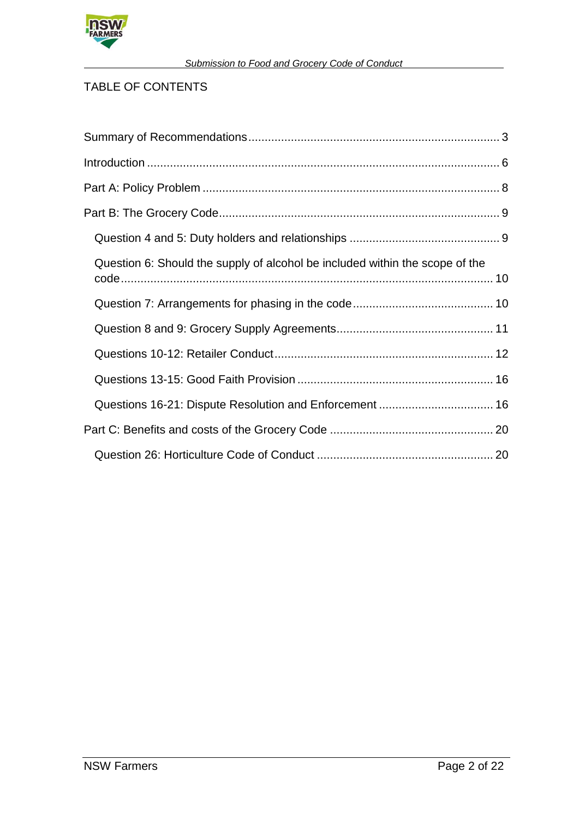

### *Submission to Food and Grocery Code of Conduct*

## TABLE OF CONTENTS

| Question 6: Should the supply of alcohol be included within the scope of the |  |
|------------------------------------------------------------------------------|--|
|                                                                              |  |
|                                                                              |  |
|                                                                              |  |
|                                                                              |  |
| Questions 16-21: Dispute Resolution and Enforcement  16                      |  |
|                                                                              |  |
|                                                                              |  |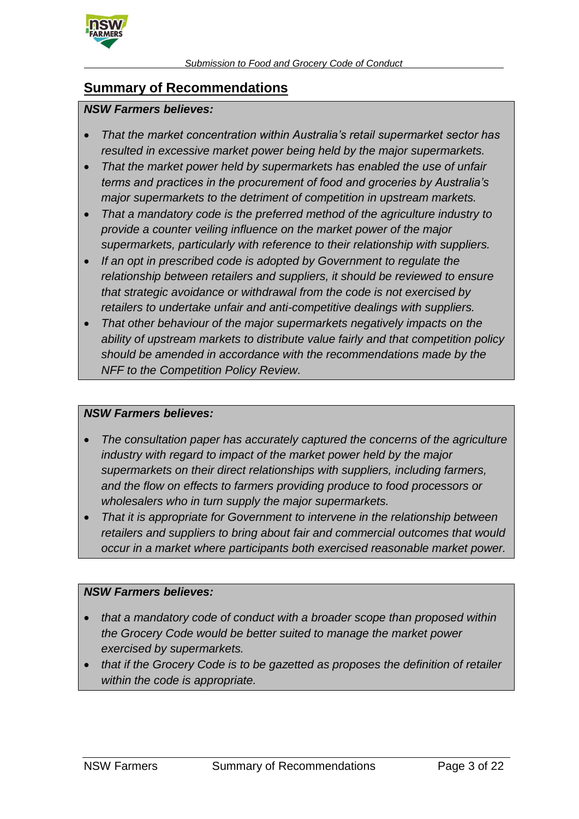

## **Summary of Recommendations**

#### *NSW Farmers believes:*

- *That the market concentration within Australia's retail supermarket sector has resulted in excessive market power being held by the major supermarkets.*
- *That the market power held by supermarkets has enabled the use of unfair terms and practices in the procurement of food and groceries by Australia's major supermarkets to the detriment of competition in upstream markets.*
- *That a mandatory code is the preferred method of the agriculture industry to provide a counter veiling influence on the market power of the major supermarkets, particularly with reference to their relationship with suppliers.*
- *If an opt in prescribed code is adopted by Government to regulate the relationship between retailers and suppliers, it should be reviewed to ensure that strategic avoidance or withdrawal from the code is not exercised by retailers to undertake unfair and anti-competitive dealings with suppliers.*
- *That other behaviour of the major supermarkets negatively impacts on the ability of upstream markets to distribute value fairly and that competition policy should be amended in accordance with the recommendations made by the NFF to the Competition Policy Review.*

#### *NSW Farmers believes:*

- *The consultation paper has accurately captured the concerns of the agriculture industry with regard to impact of the market power held by the major supermarkets on their direct relationships with suppliers, including farmers, and the flow on effects to farmers providing produce to food processors or wholesalers who in turn supply the major supermarkets.*
- *That it is appropriate for Government to intervene in the relationship between retailers and suppliers to bring about fair and commercial outcomes that would occur in a market where participants both exercised reasonable market power.*

### *NSW Farmers believes:*

- *that a mandatory code of conduct with a broader scope than proposed within the Grocery Code would be better suited to manage the market power exercised by supermarkets.*
- *that if the Grocery Code is to be gazetted as proposes the definition of retailer within the code is appropriate.*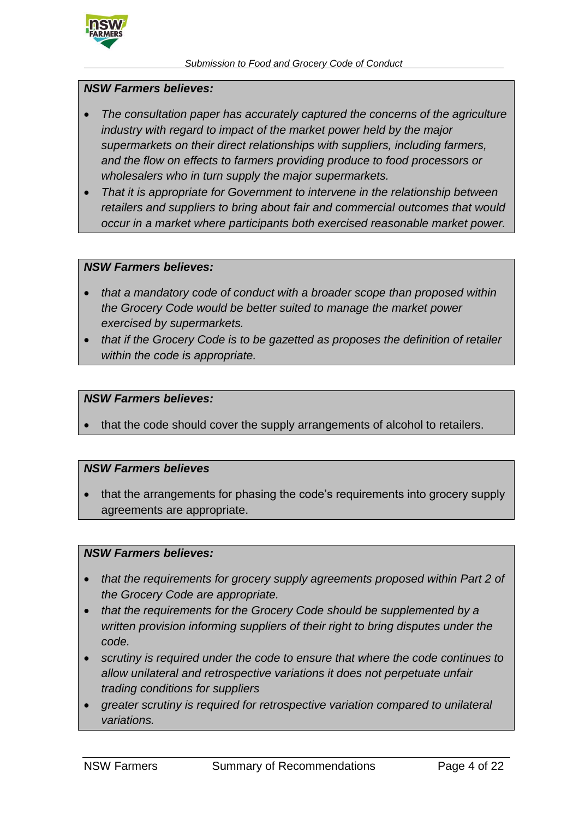

#### *NSW Farmers believes:*

- *The consultation paper has accurately captured the concerns of the agriculture industry with regard to impact of the market power held by the major supermarkets on their direct relationships with suppliers, including farmers, and the flow on effects to farmers providing produce to food processors or wholesalers who in turn supply the major supermarkets.*
- *That it is appropriate for Government to intervene in the relationship between retailers and suppliers to bring about fair and commercial outcomes that would occur in a market where participants both exercised reasonable market power.*

#### *NSW Farmers believes:*

- *that a mandatory code of conduct with a broader scope than proposed within the Grocery Code would be better suited to manage the market power exercised by supermarkets.*
- *that if the Grocery Code is to be gazetted as proposes the definition of retailer within the code is appropriate.*

#### *NSW Farmers believes:*

that the code should cover the supply arrangements of alcohol to retailers.

#### *NSW Farmers believes*

 that the arrangements for phasing the code's requirements into grocery supply agreements are appropriate.

#### *NSW Farmers believes:*

- *that the requirements for grocery supply agreements proposed within Part 2 of the Grocery Code are appropriate.*
- *that the requirements for the Grocery Code should be supplemented by a written provision informing suppliers of their right to bring disputes under the code.*
- *scrutiny is required under the code to ensure that where the code continues to allow unilateral and retrospective variations it does not perpetuate unfair trading conditions for suppliers*
- *greater scrutiny is required for retrospective variation compared to unilateral variations.*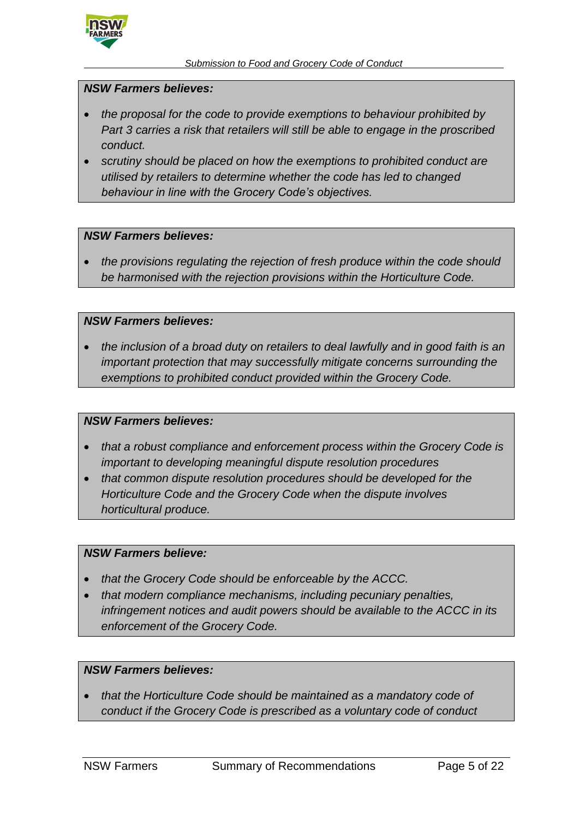

#### *NSW Farmers believes:*

- *the proposal for the code to provide exemptions to behaviour prohibited by Part 3 carries a risk that retailers will still be able to engage in the proscribed conduct.*
- *scrutiny should be placed on how the exemptions to prohibited conduct are utilised by retailers to determine whether the code has led to changed behaviour in line with the Grocery Code's objectives.*

#### *NSW Farmers believes:*

 *the provisions regulating the rejection of fresh produce within the code should be harmonised with the rejection provisions within the Horticulture Code.*

#### *NSW Farmers believes:*

 *the inclusion of a broad duty on retailers to deal lawfully and in good faith is an important protection that may successfully mitigate concerns surrounding the exemptions to prohibited conduct provided within the Grocery Code.*

#### *NSW Farmers believes:*

- *that a robust compliance and enforcement process within the Grocery Code is important to developing meaningful dispute resolution procedures*
- *that common dispute resolution procedures should be developed for the Horticulture Code and the Grocery Code when the dispute involves horticultural produce.*

#### *NSW Farmers believe:*

- *that the Grocery Code should be enforceable by the ACCC.*
- *that modern compliance mechanisms, including pecuniary penalties, infringement notices and audit powers should be available to the ACCC in its enforcement of the Grocery Code.*

#### *NSW Farmers believes:*

 *that the Horticulture Code should be maintained as a mandatory code of conduct if the Grocery Code is prescribed as a voluntary code of conduct*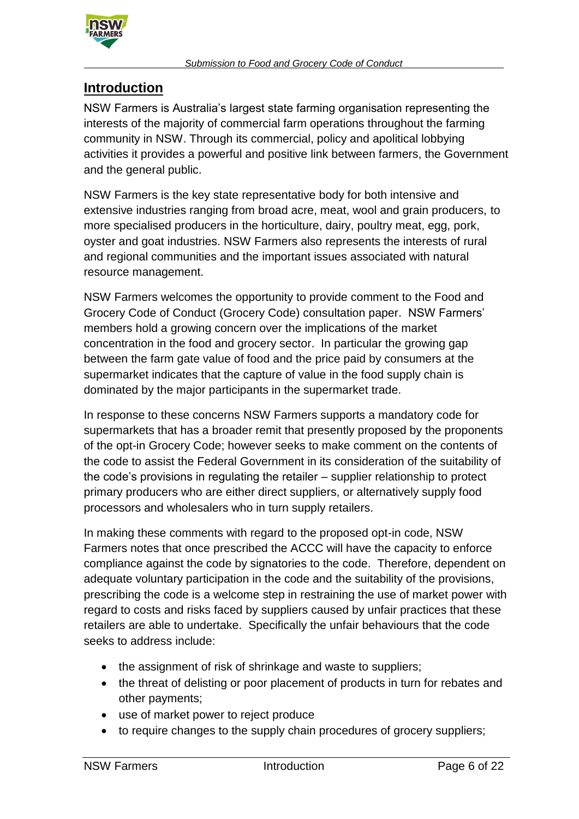

## **Introduction**

NSW Farmers is Australia's largest state farming organisation representing the interests of the majority of commercial farm operations throughout the farming community in NSW. Through its commercial, policy and apolitical lobbying activities it provides a powerful and positive link between farmers, the Government and the general public.

NSW Farmers is the key state representative body for both intensive and extensive industries ranging from broad acre, meat, wool and grain producers, to more specialised producers in the horticulture, dairy, poultry meat, egg, pork, oyster and goat industries. NSW Farmers also represents the interests of rural and regional communities and the important issues associated with natural resource management.

NSW Farmers welcomes the opportunity to provide comment to the Food and Grocery Code of Conduct (Grocery Code) consultation paper. NSW Farmers' members hold a growing concern over the implications of the market concentration in the food and grocery sector. In particular the growing gap between the farm gate value of food and the price paid by consumers at the supermarket indicates that the capture of value in the food supply chain is dominated by the major participants in the supermarket trade.

In response to these concerns NSW Farmers supports a mandatory code for supermarkets that has a broader remit that presently proposed by the proponents of the opt-in Grocery Code; however seeks to make comment on the contents of the code to assist the Federal Government in its consideration of the suitability of the code's provisions in regulating the retailer – supplier relationship to protect primary producers who are either direct suppliers, or alternatively supply food processors and wholesalers who in turn supply retailers.

In making these comments with regard to the proposed opt-in code, NSW Farmers notes that once prescribed the ACCC will have the capacity to enforce compliance against the code by signatories to the code. Therefore, dependent on adequate voluntary participation in the code and the suitability of the provisions, prescribing the code is a welcome step in restraining the use of market power with regard to costs and risks faced by suppliers caused by unfair practices that these retailers are able to undertake. Specifically the unfair behaviours that the code seeks to address include:

- the assignment of risk of shrinkage and waste to suppliers;
- the threat of delisting or poor placement of products in turn for rebates and other payments;
- use of market power to reject produce
- to require changes to the supply chain procedures of grocery suppliers;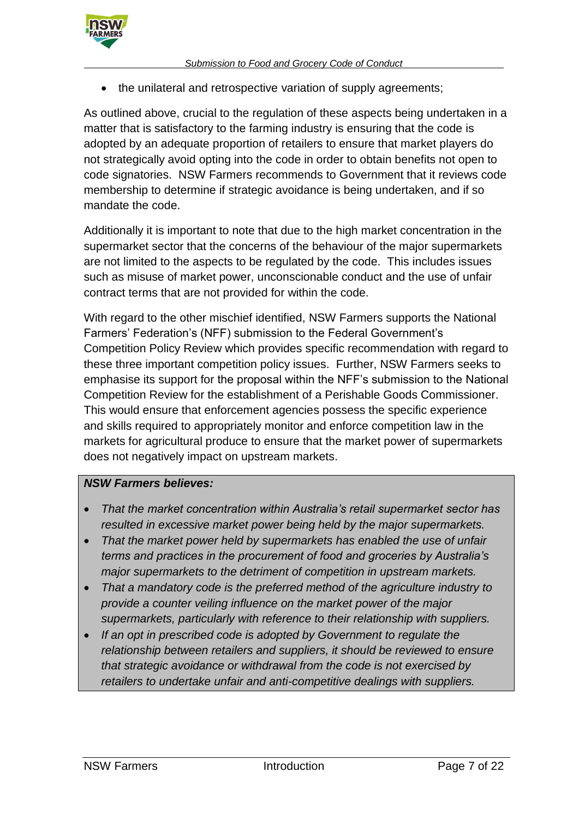

• the unilateral and retrospective variation of supply agreements;

As outlined above, crucial to the regulation of these aspects being undertaken in a matter that is satisfactory to the farming industry is ensuring that the code is adopted by an adequate proportion of retailers to ensure that market players do not strategically avoid opting into the code in order to obtain benefits not open to code signatories. NSW Farmers recommends to Government that it reviews code membership to determine if strategic avoidance is being undertaken, and if so mandate the code.

Additionally it is important to note that due to the high market concentration in the supermarket sector that the concerns of the behaviour of the major supermarkets are not limited to the aspects to be regulated by the code. This includes issues such as misuse of market power, unconscionable conduct and the use of unfair contract terms that are not provided for within the code.

With regard to the other mischief identified, NSW Farmers supports the National Farmers' Federation's (NFF) submission to the Federal Government's Competition Policy Review which provides specific recommendation with regard to these three important competition policy issues. Further, NSW Farmers seeks to emphasise its support for the proposal within the NFF's submission to the National Competition Review for the establishment of a Perishable Goods Commissioner. This would ensure that enforcement agencies possess the specific experience and skills required to appropriately monitor and enforce competition law in the markets for agricultural produce to ensure that the market power of supermarkets does not negatively impact on upstream markets.

### *NSW Farmers believes:*

- *That the market concentration within Australia's retail supermarket sector has resulted in excessive market power being held by the major supermarkets.*
- *That the market power held by supermarkets has enabled the use of unfair terms and practices in the procurement of food and groceries by Australia's major supermarkets to the detriment of competition in upstream markets.*
- *That a mandatory code is the preferred method of the agriculture industry to provide a counter veiling influence on the market power of the major supermarkets, particularly with reference to their relationship with suppliers.*
- *If an opt in prescribed code is adopted by Government to regulate the relationship between retailers and suppliers, it should be reviewed to ensure that strategic avoidance or withdrawal from the code is not exercised by retailers to undertake unfair and anti-competitive dealings with suppliers.*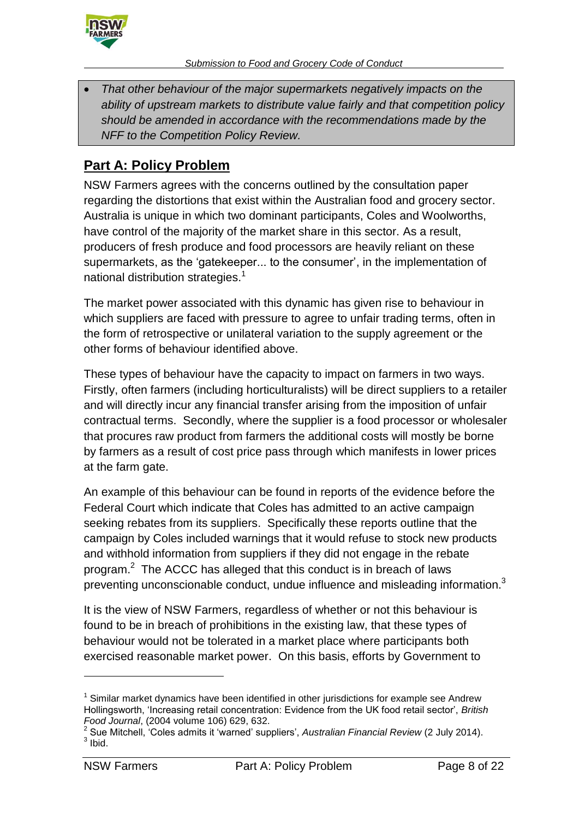

*Submission to Food and Grocery Code of Conduct*

 *That other behaviour of the major supermarkets negatively impacts on the ability of upstream markets to distribute value fairly and that competition policy should be amended in accordance with the recommendations made by the NFF to the Competition Policy Review.*

# **Part A: Policy Problem**

NSW Farmers agrees with the concerns outlined by the consultation paper regarding the distortions that exist within the Australian food and grocery sector. Australia is unique in which two dominant participants, Coles and Woolworths, have control of the majority of the market share in this sector. As a result, producers of fresh produce and food processors are heavily reliant on these supermarkets, as the 'gatekeeper... to the consumer', in the implementation of national distribution strategies.<sup>1</sup>

The market power associated with this dynamic has given rise to behaviour in which suppliers are faced with pressure to agree to unfair trading terms, often in the form of retrospective or unilateral variation to the supply agreement or the other forms of behaviour identified above.

These types of behaviour have the capacity to impact on farmers in two ways. Firstly, often farmers (including horticulturalists) will be direct suppliers to a retailer and will directly incur any financial transfer arising from the imposition of unfair contractual terms. Secondly, where the supplier is a food processor or wholesaler that procures raw product from farmers the additional costs will mostly be borne by farmers as a result of cost price pass through which manifests in lower prices at the farm gate.

An example of this behaviour can be found in reports of the evidence before the Federal Court which indicate that Coles has admitted to an active campaign seeking rebates from its suppliers. Specifically these reports outline that the campaign by Coles included warnings that it would refuse to stock new products and withhold information from suppliers if they did not engage in the rebate program.<sup>2</sup> The ACCC has alleged that this conduct is in breach of laws preventing unconscionable conduct, undue influence and misleading information.<sup>3</sup>

It is the view of NSW Farmers, regardless of whether or not this behaviour is found to be in breach of prohibitions in the existing law, that these types of behaviour would not be tolerated in a market place where participants both exercised reasonable market power. On this basis, efforts by Government to

 $1$  Similar market dynamics have been identified in other jurisdictions for example see Andrew Hollingsworth, 'Increasing retail concentration: Evidence from the UK food retail sector', *British Food Journal*, (2004 volume 106) 629, 632.

<sup>2</sup> Sue Mitchell, 'Coles admits it 'warned' suppliers', *Australian Financial Review* (2 July 2014).  $3$  lbid.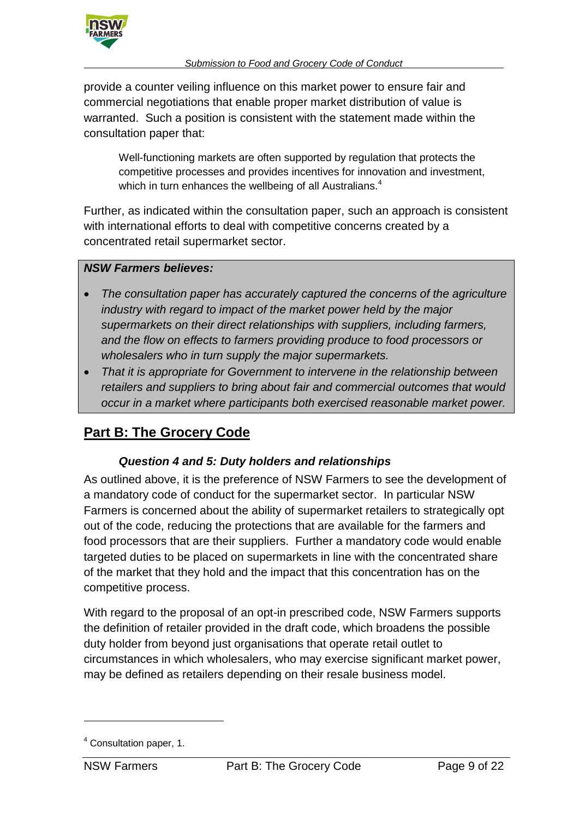

provide a counter veiling influence on this market power to ensure fair and commercial negotiations that enable proper market distribution of value is warranted. Such a position is consistent with the statement made within the consultation paper that:

Well-functioning markets are often supported by regulation that protects the competitive processes and provides incentives for innovation and investment, which in turn enhances the wellbeing of all Australians.<sup>4</sup>

Further, as indicated within the consultation paper, such an approach is consistent with international efforts to deal with competitive concerns created by a concentrated retail supermarket sector.

### *NSW Farmers believes:*

- *The consultation paper has accurately captured the concerns of the agriculture industry with regard to impact of the market power held by the major supermarkets on their direct relationships with suppliers, including farmers, and the flow on effects to farmers providing produce to food processors or wholesalers who in turn supply the major supermarkets.*
- *That it is appropriate for Government to intervene in the relationship between retailers and suppliers to bring about fair and commercial outcomes that would occur in a market where participants both exercised reasonable market power.*

# **Part B: The Grocery Code**

## *Question 4 and 5: Duty holders and relationships*

As outlined above, it is the preference of NSW Farmers to see the development of a mandatory code of conduct for the supermarket sector. In particular NSW Farmers is concerned about the ability of supermarket retailers to strategically opt out of the code, reducing the protections that are available for the farmers and food processors that are their suppliers. Further a mandatory code would enable targeted duties to be placed on supermarkets in line with the concentrated share of the market that they hold and the impact that this concentration has on the competitive process.

With regard to the proposal of an opt-in prescribed code, NSW Farmers supports the definition of retailer provided in the draft code, which broadens the possible duty holder from beyond just organisations that operate retail outlet to circumstances in which wholesalers, who may exercise significant market power, may be defined as retailers depending on their resale business model.

<sup>4</sup> Consultation paper, 1.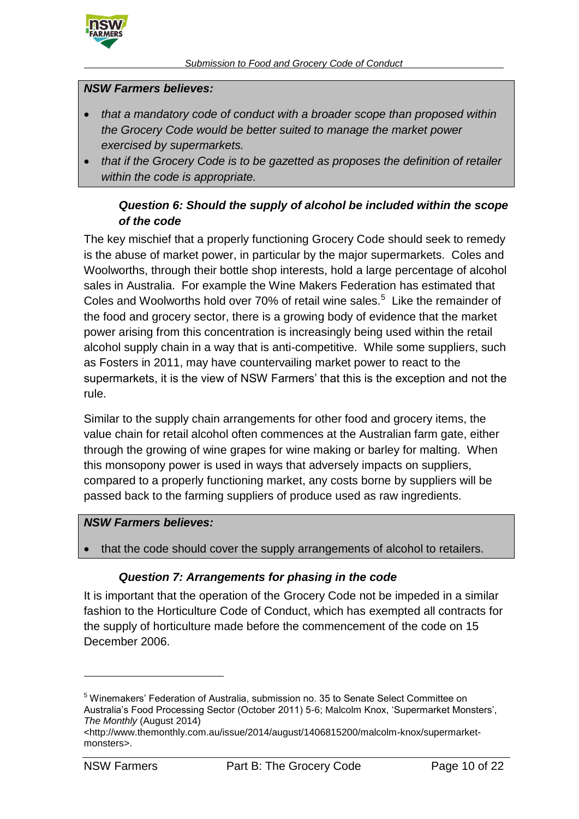

#### *NSW Farmers believes:*

- *that a mandatory code of conduct with a broader scope than proposed within the Grocery Code would be better suited to manage the market power exercised by supermarkets.*
- *that if the Grocery Code is to be gazetted as proposes the definition of retailer within the code is appropriate.*

## *Question 6: Should the supply of alcohol be included within the scope of the code*

The key mischief that a properly functioning Grocery Code should seek to remedy is the abuse of market power, in particular by the major supermarkets. Coles and Woolworths, through their bottle shop interests, hold a large percentage of alcohol sales in Australia. For example the Wine Makers Federation has estimated that Coles and Woolworths hold over 70% of retail wine sales. $5$  Like the remainder of the food and grocery sector, there is a growing body of evidence that the market power arising from this concentration is increasingly being used within the retail alcohol supply chain in a way that is anti-competitive. While some suppliers, such as Fosters in 2011, may have countervailing market power to react to the supermarkets, it is the view of NSW Farmers' that this is the exception and not the rule.

Similar to the supply chain arrangements for other food and grocery items, the value chain for retail alcohol often commences at the Australian farm gate, either through the growing of wine grapes for wine making or barley for malting. When this monsopony power is used in ways that adversely impacts on suppliers, compared to a properly functioning market, any costs borne by suppliers will be passed back to the farming suppliers of produce used as raw ingredients.

#### *NSW Farmers believes:*

that the code should cover the supply arrangements of alcohol to retailers.

#### *Question 7: Arrangements for phasing in the code*

It is important that the operation of the Grocery Code not be impeded in a similar fashion to the Horticulture Code of Conduct, which has exempted all contracts for the supply of horticulture made before the commencement of the code on 15 December 2006.

<sup>5</sup> Winemakers' Federation of Australia, submission no. 35 to Senate Select Committee on Australia's Food Processing Sector (October 2011) 5-6; Malcolm Knox, 'Supermarket Monsters', *The Monthly* (August 2014)

<sup>&</sup>lt;http://www.themonthly.com.au/issue/2014/august/1406815200/malcolm-knox/supermarketmonsters>.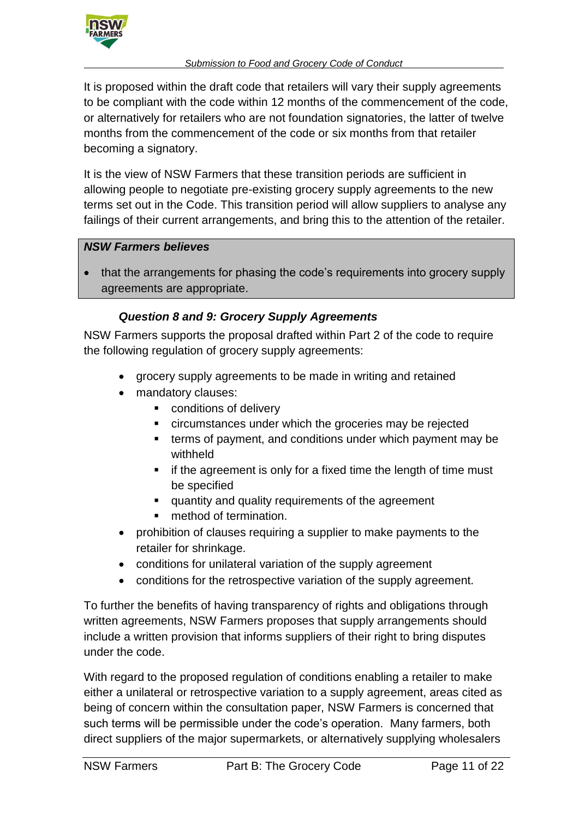

It is proposed within the draft code that retailers will vary their supply agreements to be compliant with the code within 12 months of the commencement of the code, or alternatively for retailers who are not foundation signatories, the latter of twelve months from the commencement of the code or six months from that retailer becoming a signatory.

It is the view of NSW Farmers that these transition periods are sufficient in allowing people to negotiate pre-existing grocery supply agreements to the new terms set out in the Code. This transition period will allow suppliers to analyse any failings of their current arrangements, and bring this to the attention of the retailer.

### *NSW Farmers believes*

 that the arrangements for phasing the code's requirements into grocery supply agreements are appropriate.

## *Question 8 and 9: Grocery Supply Agreements*

NSW Farmers supports the proposal drafted within Part 2 of the code to require the following regulation of grocery supply agreements:

- grocery supply agreements to be made in writing and retained
- mandatory clauses:
	- conditions of delivery
	- circumstances under which the groceries may be rejected
	- terms of payment, and conditions under which payment may be withheld
	- $\blacksquare$  if the agreement is only for a fixed time the length of time must be specified
	- **quantity and quality requirements of the agreement**
	- method of termination.
- prohibition of clauses requiring a supplier to make payments to the retailer for shrinkage.
- conditions for unilateral variation of the supply agreement
- conditions for the retrospective variation of the supply agreement.

To further the benefits of having transparency of rights and obligations through written agreements, NSW Farmers proposes that supply arrangements should include a written provision that informs suppliers of their right to bring disputes under the code.

With regard to the proposed regulation of conditions enabling a retailer to make either a unilateral or retrospective variation to a supply agreement, areas cited as being of concern within the consultation paper, NSW Farmers is concerned that such terms will be permissible under the code's operation. Many farmers, both direct suppliers of the major supermarkets, or alternatively supplying wholesalers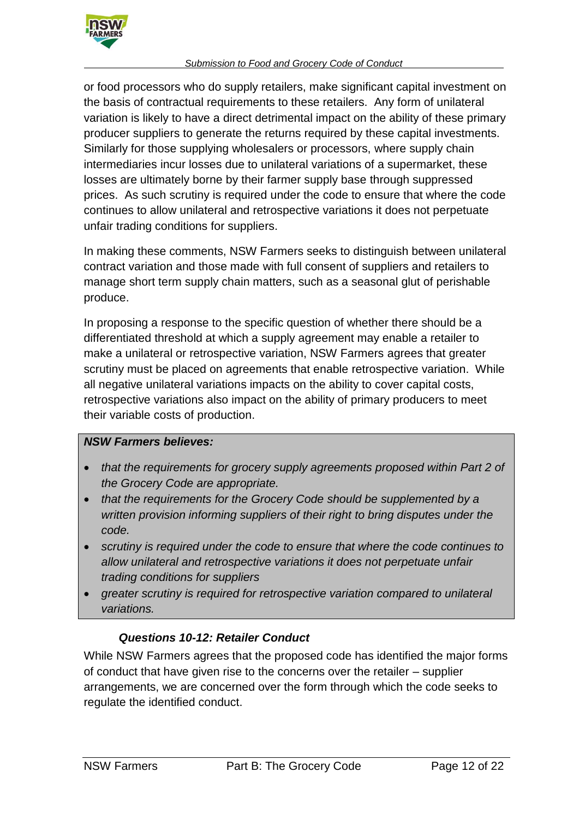

#### *Submission to Food and Grocery Code of Conduct*

or food processors who do supply retailers, make significant capital investment on the basis of contractual requirements to these retailers. Any form of unilateral variation is likely to have a direct detrimental impact on the ability of these primary producer suppliers to generate the returns required by these capital investments. Similarly for those supplying wholesalers or processors, where supply chain intermediaries incur losses due to unilateral variations of a supermarket, these losses are ultimately borne by their farmer supply base through suppressed prices. As such scrutiny is required under the code to ensure that where the code continues to allow unilateral and retrospective variations it does not perpetuate unfair trading conditions for suppliers.

In making these comments, NSW Farmers seeks to distinguish between unilateral contract variation and those made with full consent of suppliers and retailers to manage short term supply chain matters, such as a seasonal glut of perishable produce.

In proposing a response to the specific question of whether there should be a differentiated threshold at which a supply agreement may enable a retailer to make a unilateral or retrospective variation, NSW Farmers agrees that greater scrutiny must be placed on agreements that enable retrospective variation. While all negative unilateral variations impacts on the ability to cover capital costs, retrospective variations also impact on the ability of primary producers to meet their variable costs of production.

### *NSW Farmers believes:*

- *that the requirements for grocery supply agreements proposed within Part 2 of the Grocery Code are appropriate.*
- *that the requirements for the Grocery Code should be supplemented by a written provision informing suppliers of their right to bring disputes under the code.*
- *scrutiny is required under the code to ensure that where the code continues to allow unilateral and retrospective variations it does not perpetuate unfair trading conditions for suppliers*
- *greater scrutiny is required for retrospective variation compared to unilateral variations.*

### *Questions 10-12: Retailer Conduct*

While NSW Farmers agrees that the proposed code has identified the major forms of conduct that have given rise to the concerns over the retailer – supplier arrangements, we are concerned over the form through which the code seeks to regulate the identified conduct.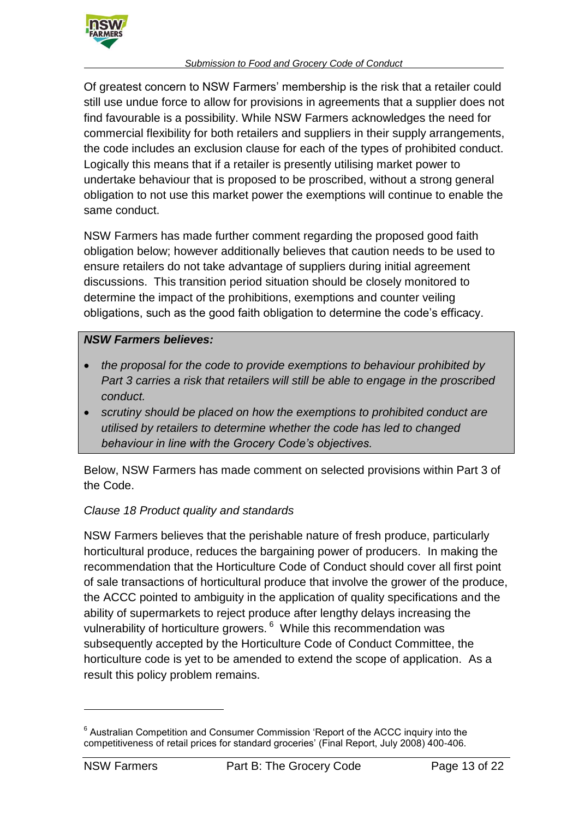

Of greatest concern to NSW Farmers' membership is the risk that a retailer could still use undue force to allow for provisions in agreements that a supplier does not find favourable is a possibility. While NSW Farmers acknowledges the need for commercial flexibility for both retailers and suppliers in their supply arrangements, the code includes an exclusion clause for each of the types of prohibited conduct. Logically this means that if a retailer is presently utilising market power to undertake behaviour that is proposed to be proscribed, without a strong general obligation to not use this market power the exemptions will continue to enable the same conduct.

NSW Farmers has made further comment regarding the proposed good faith obligation below; however additionally believes that caution needs to be used to ensure retailers do not take advantage of suppliers during initial agreement discussions. This transition period situation should be closely monitored to determine the impact of the prohibitions, exemptions and counter veiling obligations, such as the good faith obligation to determine the code's efficacy.

## *NSW Farmers believes:*

- *the proposal for the code to provide exemptions to behaviour prohibited by Part 3 carries a risk that retailers will still be able to engage in the proscribed conduct.*
- *scrutiny should be placed on how the exemptions to prohibited conduct are utilised by retailers to determine whether the code has led to changed behaviour in line with the Grocery Code's objectives.*

Below, NSW Farmers has made comment on selected provisions within Part 3 of the Code.

## *Clause 18 Product quality and standards*

NSW Farmers believes that the perishable nature of fresh produce, particularly horticultural produce, reduces the bargaining power of producers. In making the recommendation that the Horticulture Code of Conduct should cover all first point of sale transactions of horticultural produce that involve the grower of the produce, the ACCC pointed to ambiguity in the application of quality specifications and the ability of supermarkets to reject produce after lengthy delays increasing the vulnerability of horticulture growers. <sup>6</sup> While this recommendation was subsequently accepted by the Horticulture Code of Conduct Committee, the horticulture code is yet to be amended to extend the scope of application. As a result this policy problem remains.

<sup>&</sup>lt;sup>6</sup> Australian Competition and Consumer Commission 'Report of the ACCC inquiry into the competitiveness of retail prices for standard groceries' (Final Report, July 2008) 400-406.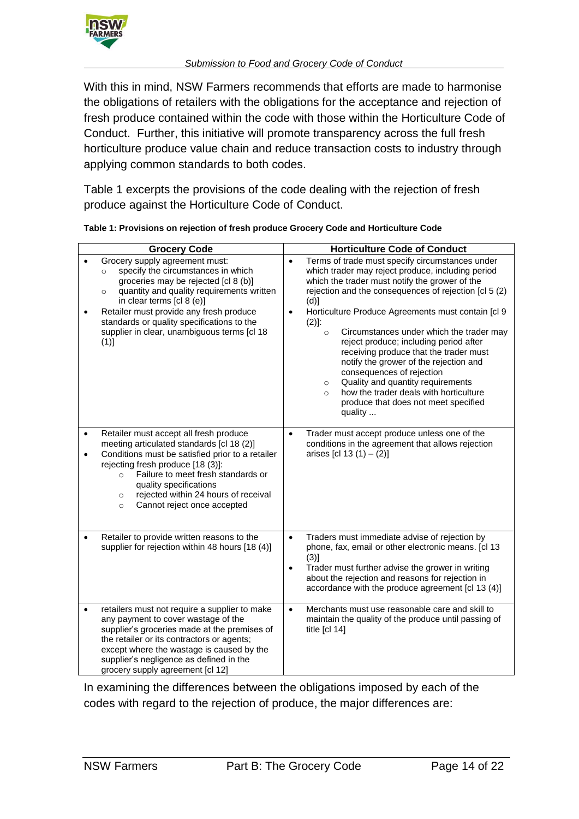

With this in mind, NSW Farmers recommends that efforts are made to harmonise the obligations of retailers with the obligations for the acceptance and rejection of fresh produce contained within the code with those within the Horticulture Code of Conduct. Further, this initiative will promote transparency across the full fresh horticulture produce value chain and reduce transaction costs to industry through applying common standards to both codes.

[Table 1](#page-13-0) excerpts the provisions of the code dealing with the rejection of fresh produce against the Horticulture Code of Conduct.

| <b>Grocery Code</b> |                                                                                                                                                                                                                                                                                                                                                              | <b>Horticulture Code of Conduct</b>                                                                                                                                                                                                                                                                                                                                                                                                                                                                                                                                                                                                                                                          |  |  |  |
|---------------------|--------------------------------------------------------------------------------------------------------------------------------------------------------------------------------------------------------------------------------------------------------------------------------------------------------------------------------------------------------------|----------------------------------------------------------------------------------------------------------------------------------------------------------------------------------------------------------------------------------------------------------------------------------------------------------------------------------------------------------------------------------------------------------------------------------------------------------------------------------------------------------------------------------------------------------------------------------------------------------------------------------------------------------------------------------------------|--|--|--|
| ٠                   | Grocery supply agreement must:<br>specify the circumstances in which<br>$\circ$<br>groceries may be rejected [cl 8 (b)]<br>quantity and quality requirements written<br>$\circ$<br>in clear terms [cl 8 (e)]<br>Retailer must provide any fresh produce<br>standards or quality specifications to the<br>supplier in clear, unambiguous terms [cl 18<br>(1)] | Terms of trade must specify circumstances under<br>$\bullet$<br>which trader may reject produce, including period<br>which the trader must notify the grower of the<br>rejection and the consequences of rejection [cl 5 (2)<br>(d)]<br>Horticulture Produce Agreements must contain [cl 9<br>$\bullet$<br>$(2)$ :<br>Circumstances under which the trader may<br>$\circ$<br>reject produce; including period after<br>receiving produce that the trader must<br>notify the grower of the rejection and<br>consequences of rejection<br>Quality and quantity requirements<br>$\circ$<br>how the trader deals with horticulture<br>$\circ$<br>produce that does not meet specified<br>quality |  |  |  |
| $\bullet$<br>٠      | Retailer must accept all fresh produce<br>meeting articulated standards [cl 18 (2)]<br>Conditions must be satisfied prior to a retailer<br>rejecting fresh produce [18 (3)]:<br>Failure to meet fresh standards or<br>$\circ$<br>quality specifications<br>rejected within 24 hours of receival<br>$\circ$<br>Cannot reject once accepted<br>$\circ$         | Trader must accept produce unless one of the<br>$\bullet$<br>conditions in the agreement that allows rejection<br>arises [cl 13 $(1) - (2)$ ]                                                                                                                                                                                                                                                                                                                                                                                                                                                                                                                                                |  |  |  |
|                     | Retailer to provide written reasons to the<br>supplier for rejection within 48 hours [18 (4)]                                                                                                                                                                                                                                                                | Traders must immediate advise of rejection by<br>$\bullet$<br>phone, fax, email or other electronic means. [cl 13<br>(3)]<br>Trader must further advise the grower in writing<br>$\bullet$<br>about the rejection and reasons for rejection in<br>accordance with the produce agreement [cl 13 (4)]                                                                                                                                                                                                                                                                                                                                                                                          |  |  |  |
| $\bullet$           | retailers must not require a supplier to make<br>any payment to cover wastage of the<br>supplier's groceries made at the premises of<br>the retailer or its contractors or agents;<br>except where the wastage is caused by the<br>supplier's negligence as defined in the<br>grocery supply agreement [cl 12]                                               | Merchants must use reasonable care and skill to<br>$\bullet$<br>maintain the quality of the produce until passing of<br>title $\lceil c \rceil$ 14]                                                                                                                                                                                                                                                                                                                                                                                                                                                                                                                                          |  |  |  |

<span id="page-13-0"></span>

| Table 1: Provisions on rejection of fresh produce Grocery Code and Horticulture Code |  |  |  |
|--------------------------------------------------------------------------------------|--|--|--|
|                                                                                      |  |  |  |

In examining the differences between the obligations imposed by each of the codes with regard to the rejection of produce, the major differences are: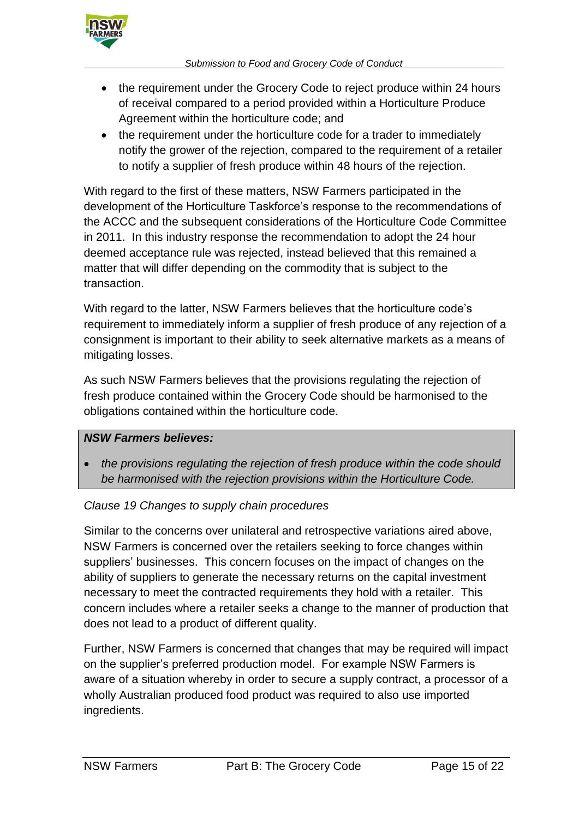

- the requirement under the Grocery Code to reject produce within 24 hours of receival compared to a period provided within a Horticulture Produce Agreement within the horticulture code; and
- the requirement under the horticulture code for a trader to immediately notify the grower of the rejection, compared to the requirement of a retailer to notify a supplier of fresh produce within 48 hours of the rejection.

With regard to the first of these matters, NSW Farmers participated in the development of the Horticulture Taskforce's response to the recommendations of the ACCC and the subsequent considerations of the Horticulture Code Committee in 2011. In this industry response the recommendation to adopt the 24 hour deemed acceptance rule was rejected, instead believed that this remained a matter that will differ depending on the commodity that is subject to the transaction.

With regard to the latter, NSW Farmers believes that the horticulture code's requirement to immediately inform a supplier of fresh produce of any rejection of a consignment is important to their ability to seek alternative markets as a means of mitigating losses.

As such NSW Farmers believes that the provisions regulating the rejection of fresh produce contained within the Grocery Code should be harmonised to the obligations contained within the horticulture code.

### *NSW Farmers believes:*

 *the provisions regulating the rejection of fresh produce within the code should be harmonised with the rejection provisions within the Horticulture Code.*

### *Clause 19 Changes to supply chain procedures*

Similar to the concerns over unilateral and retrospective variations aired above, NSW Farmers is concerned over the retailers seeking to force changes within suppliers' businesses. This concern focuses on the impact of changes on the ability of suppliers to generate the necessary returns on the capital investment necessary to meet the contracted requirements they hold with a retailer. This concern includes where a retailer seeks a change to the manner of production that does not lead to a product of different quality.

Further, NSW Farmers is concerned that changes that may be required will impact on the supplier's preferred production model. For example NSW Farmers is aware of a situation whereby in order to secure a supply contract, a processor of a wholly Australian produced food product was required to also use imported ingredients.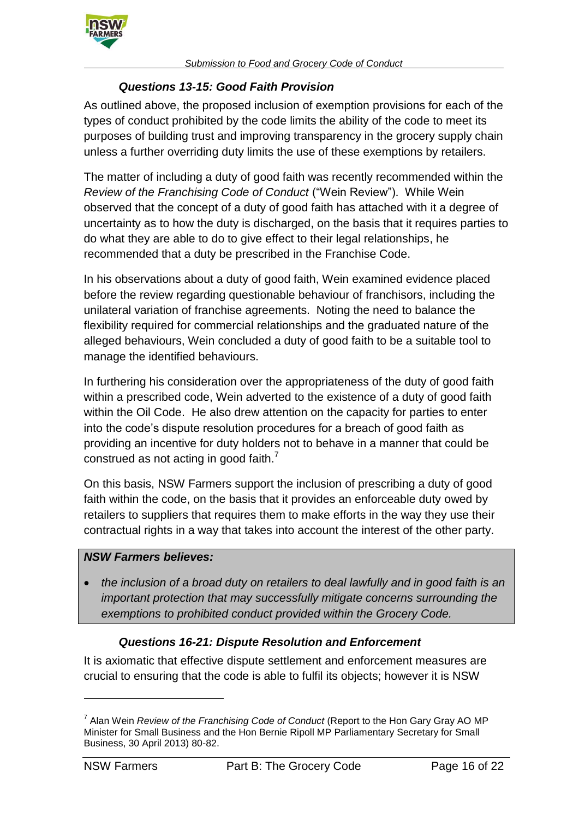

## *Questions 13-15: Good Faith Provision*

As outlined above, the proposed inclusion of exemption provisions for each of the types of conduct prohibited by the code limits the ability of the code to meet its purposes of building trust and improving transparency in the grocery supply chain unless a further overriding duty limits the use of these exemptions by retailers.

The matter of including a duty of good faith was recently recommended within the *Review of the Franchising Code of Conduct* ("Wein Review"). While Wein observed that the concept of a duty of good faith has attached with it a degree of uncertainty as to how the duty is discharged, on the basis that it requires parties to do what they are able to do to give effect to their legal relationships, he recommended that a duty be prescribed in the Franchise Code.

In his observations about a duty of good faith, Wein examined evidence placed before the review regarding questionable behaviour of franchisors, including the unilateral variation of franchise agreements. Noting the need to balance the flexibility required for commercial relationships and the graduated nature of the alleged behaviours, Wein concluded a duty of good faith to be a suitable tool to manage the identified behaviours.

In furthering his consideration over the appropriateness of the duty of good faith within a prescribed code, Wein adverted to the existence of a duty of good faith within the Oil Code. He also drew attention on the capacity for parties to enter into the code's dispute resolution procedures for a breach of good faith as providing an incentive for duty holders not to behave in a manner that could be construed as not acting in good faith. $<sup>7</sup>$ </sup>

On this basis, NSW Farmers support the inclusion of prescribing a duty of good faith within the code, on the basis that it provides an enforceable duty owed by retailers to suppliers that requires them to make efforts in the way they use their contractual rights in a way that takes into account the interest of the other party.

### *NSW Farmers believes:*

 *the inclusion of a broad duty on retailers to deal lawfully and in good faith is an important protection that may successfully mitigate concerns surrounding the exemptions to prohibited conduct provided within the Grocery Code.*

### *Questions 16-21: Dispute Resolution and Enforcement*

It is axiomatic that effective dispute settlement and enforcement measures are crucial to ensuring that the code is able to fulfil its objects; however it is NSW

 $\overline{a}$ 

<sup>7</sup> Alan Wein *Review of the Franchising Code of Conduct* (Report to the Hon Gary Gray AO MP Minister for Small Business and the Hon Bernie Ripoll MP Parliamentary Secretary for Small Business, 30 April 2013) 80-82.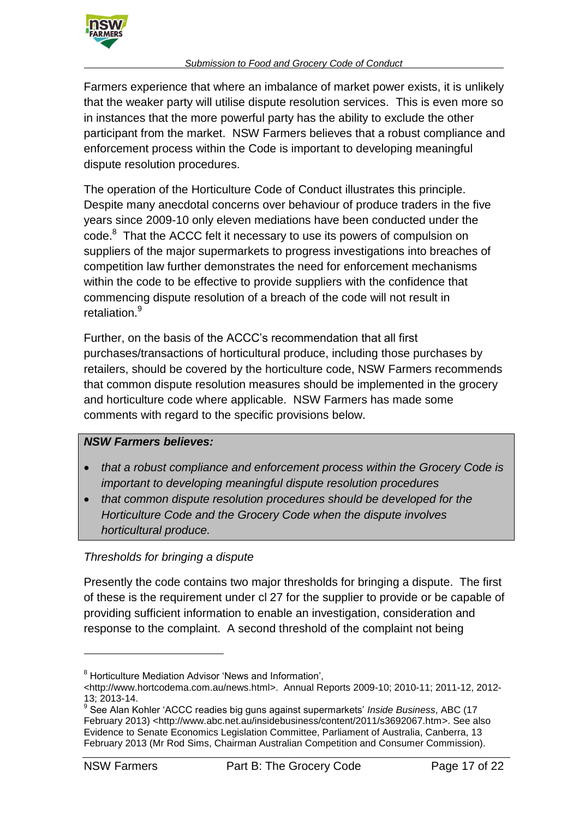

Farmers experience that where an imbalance of market power exists, it is unlikely that the weaker party will utilise dispute resolution services. This is even more so in instances that the more powerful party has the ability to exclude the other participant from the market. NSW Farmers believes that a robust compliance and enforcement process within the Code is important to developing meaningful dispute resolution procedures.

The operation of the Horticulture Code of Conduct illustrates this principle. Despite many anecdotal concerns over behaviour of produce traders in the five years since 2009-10 only eleven mediations have been conducted under the code. 8 That the ACCC felt it necessary to use its powers of compulsion on suppliers of the major supermarkets to progress investigations into breaches of competition law further demonstrates the need for enforcement mechanisms within the code to be effective to provide suppliers with the confidence that commencing dispute resolution of a breach of the code will not result in retaliation.<sup>9</sup>

Further, on the basis of the ACCC's recommendation that all first purchases/transactions of horticultural produce, including those purchases by retailers, should be covered by the horticulture code, NSW Farmers recommends that common dispute resolution measures should be implemented in the grocery and horticulture code where applicable. NSW Farmers has made some comments with regard to the specific provisions below.

### *NSW Farmers believes:*

- *that a robust compliance and enforcement process within the Grocery Code is important to developing meaningful dispute resolution procedures*
- *that common dispute resolution procedures should be developed for the Horticulture Code and the Grocery Code when the dispute involves horticultural produce.*

## *Thresholds for bringing a dispute*

Presently the code contains two major thresholds for bringing a dispute. The first of these is the requirement under cl 27 for the supplier to provide or be capable of providing sufficient information to enable an investigation, consideration and response to the complaint. A second threshold of the complaint not being

<sup>8</sup> Horticulture Mediation Advisor 'News and Information',

<sup>&</sup>lt;http://www.hortcodema.com.au/news.html>. Annual Reports 2009-10; 2010-11; 2011-12, 2012- 13; 2013-14.

<sup>9</sup> See Alan Kohler 'ACCC readies big guns against supermarkets' *Inside Business*, ABC (17 February 2013) <http://www.abc.net.au/insidebusiness/content/2011/s3692067.htm>. See also Evidence to Senate Economics Legislation Committee, Parliament of Australia, Canberra, 13 February 2013 (Mr Rod Sims, Chairman Australian Competition and Consumer Commission).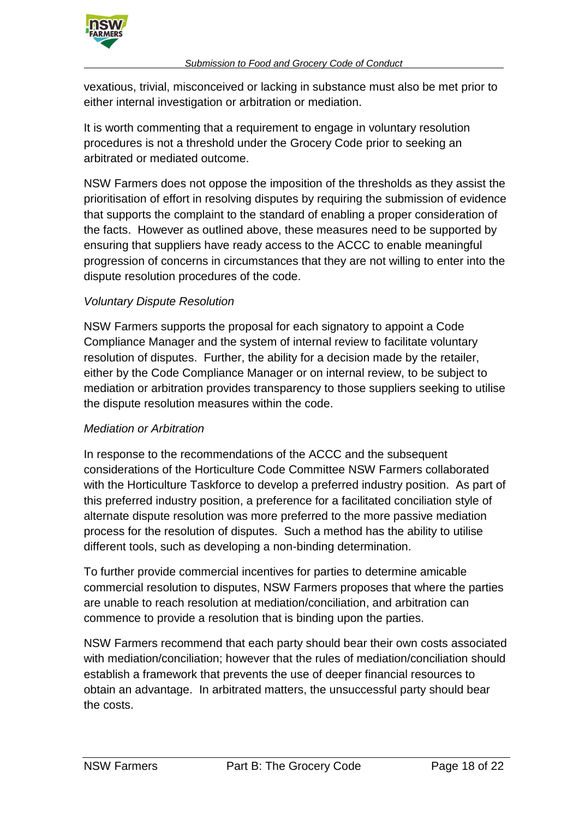

vexatious, trivial, misconceived or lacking in substance must also be met prior to either internal investigation or arbitration or mediation.

It is worth commenting that a requirement to engage in voluntary resolution procedures is not a threshold under the Grocery Code prior to seeking an arbitrated or mediated outcome.

NSW Farmers does not oppose the imposition of the thresholds as they assist the prioritisation of effort in resolving disputes by requiring the submission of evidence that supports the complaint to the standard of enabling a proper consideration of the facts. However as outlined above, these measures need to be supported by ensuring that suppliers have ready access to the ACCC to enable meaningful progression of concerns in circumstances that they are not willing to enter into the dispute resolution procedures of the code.

## *Voluntary Dispute Resolution*

NSW Farmers supports the proposal for each signatory to appoint a Code Compliance Manager and the system of internal review to facilitate voluntary resolution of disputes. Further, the ability for a decision made by the retailer, either by the Code Compliance Manager or on internal review, to be subject to mediation or arbitration provides transparency to those suppliers seeking to utilise the dispute resolution measures within the code.

## *Mediation or Arbitration*

In response to the recommendations of the ACCC and the subsequent considerations of the Horticulture Code Committee NSW Farmers collaborated with the Horticulture Taskforce to develop a preferred industry position. As part of this preferred industry position, a preference for a facilitated conciliation style of alternate dispute resolution was more preferred to the more passive mediation process for the resolution of disputes. Such a method has the ability to utilise different tools, such as developing a non-binding determination.

To further provide commercial incentives for parties to determine amicable commercial resolution to disputes, NSW Farmers proposes that where the parties are unable to reach resolution at mediation/conciliation, and arbitration can commence to provide a resolution that is binding upon the parties.

NSW Farmers recommend that each party should bear their own costs associated with mediation/conciliation; however that the rules of mediation/conciliation should establish a framework that prevents the use of deeper financial resources to obtain an advantage. In arbitrated matters, the unsuccessful party should bear the costs.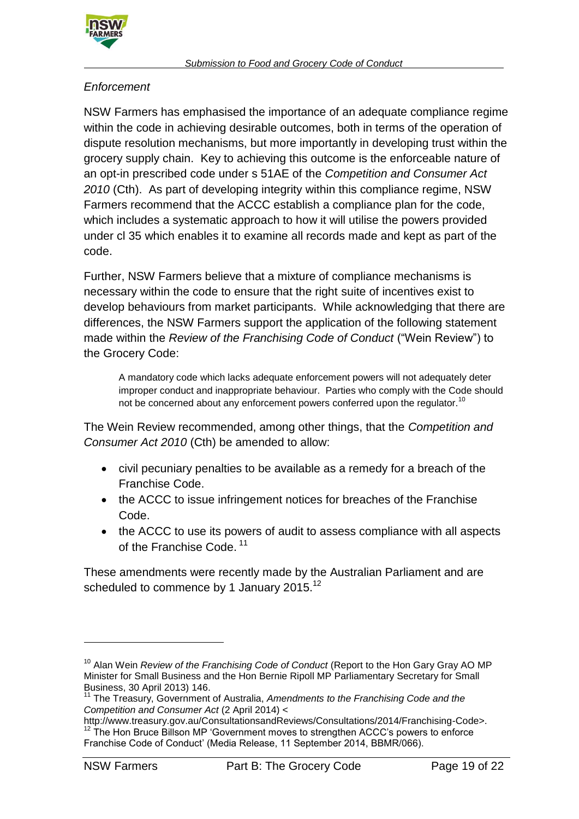

## *Enforcement*

NSW Farmers has emphasised the importance of an adequate compliance regime within the code in achieving desirable outcomes, both in terms of the operation of dispute resolution mechanisms, but more importantly in developing trust within the grocery supply chain. Key to achieving this outcome is the enforceable nature of an opt-in prescribed code under s 51AE of the *Competition and Consumer Act 2010* (Cth). As part of developing integrity within this compliance regime, NSW Farmers recommend that the ACCC establish a compliance plan for the code, which includes a systematic approach to how it will utilise the powers provided under cl 35 which enables it to examine all records made and kept as part of the code.

Further, NSW Farmers believe that a mixture of compliance mechanisms is necessary within the code to ensure that the right suite of incentives exist to develop behaviours from market participants. While acknowledging that there are differences, the NSW Farmers support the application of the following statement made within the *Review of the Franchising Code of Conduct* ("Wein Review") to the Grocery Code:

A mandatory code which lacks adequate enforcement powers will not adequately deter improper conduct and inappropriate behaviour. Parties who comply with the Code should not be concerned about any enforcement powers conferred upon the regulator.<sup>10</sup>

The Wein Review recommended, among other things, that the *Competition and Consumer Act 2010* (Cth) be amended to allow:

- civil pecuniary penalties to be available as a remedy for a breach of the Franchise Code.
- the ACCC to issue infringement notices for breaches of the Franchise Code.
- the ACCC to use its powers of audit to assess compliance with all aspects of the Franchise Code.<sup>11</sup>

These amendments were recently made by the Australian Parliament and are scheduled to commence by 1 January 2015.<sup>12</sup>

<sup>&</sup>lt;sup>10</sup> Alan Wein *Review of the Franchising Code of Conduct* (Report to the Hon Gary Gray AO MP Minister for Small Business and the Hon Bernie Ripoll MP Parliamentary Secretary for Small Business, 30 April 2013) 146.

<sup>&</sup>lt;sup>11</sup> The Treasury, Government of Australia, Amendments to the Franchising Code and the *Competition and Consumer Act* (2 April 2014) <

http://www.treasury.gov.au/ConsultationsandReviews/Consultations/2014/Franchising-Code>.  $12$  The Hon Bruce Billson MP 'Government moves to strengthen ACCC's powers to enforce Franchise Code of Conduct' (Media Release, 11 September 2014, BBMR/066).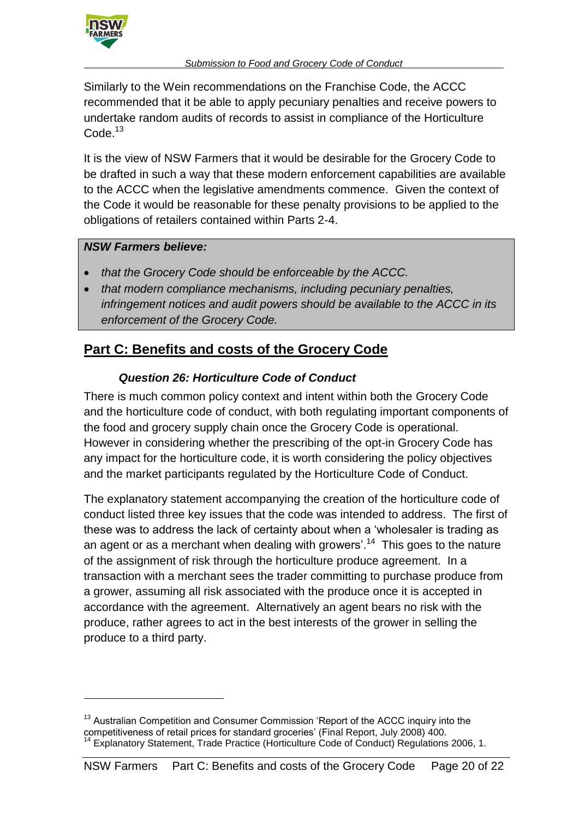

Similarly to the Wein recommendations on the Franchise Code, the ACCC recommended that it be able to apply pecuniary penalties and receive powers to undertake random audits of records to assist in compliance of the Horticulture Code.<sup>13</sup>

It is the view of NSW Farmers that it would be desirable for the Grocery Code to be drafted in such a way that these modern enforcement capabilities are available to the ACCC when the legislative amendments commence. Given the context of the Code it would be reasonable for these penalty provisions to be applied to the obligations of retailers contained within Parts 2-4.

## *NSW Farmers believe:*

 $\overline{a}$ 

- *that the Grocery Code should be enforceable by the ACCC.*
- *that modern compliance mechanisms, including pecuniary penalties, infringement notices and audit powers should be available to the ACCC in its enforcement of the Grocery Code.*

# **Part C: Benefits and costs of the Grocery Code**

## *Question 26: Horticulture Code of Conduct*

There is much common policy context and intent within both the Grocery Code and the horticulture code of conduct, with both regulating important components of the food and grocery supply chain once the Grocery Code is operational. However in considering whether the prescribing of the opt-in Grocery Code has any impact for the horticulture code, it is worth considering the policy objectives and the market participants regulated by the Horticulture Code of Conduct.

The explanatory statement accompanying the creation of the horticulture code of conduct listed three key issues that the code was intended to address. The first of these was to address the lack of certainty about when a 'wholesaler is trading as an agent or as a merchant when dealing with growers'.<sup>14</sup> This goes to the nature of the assignment of risk through the horticulture produce agreement. In a transaction with a merchant sees the trader committing to purchase produce from a grower, assuming all risk associated with the produce once it is accepted in accordance with the agreement. Alternatively an agent bears no risk with the produce, rather agrees to act in the best interests of the grower in selling the produce to a third party.

<sup>&</sup>lt;sup>13</sup> Australian Competition and Consumer Commission 'Report of the ACCC inquiry into the competitiveness of retail prices for standard groceries' (Final Report, July 2008) 400. <sup>14</sup> Explanatory Statement, Trade Practice (Horticulture Code of Conduct) Regulations 2006, 1.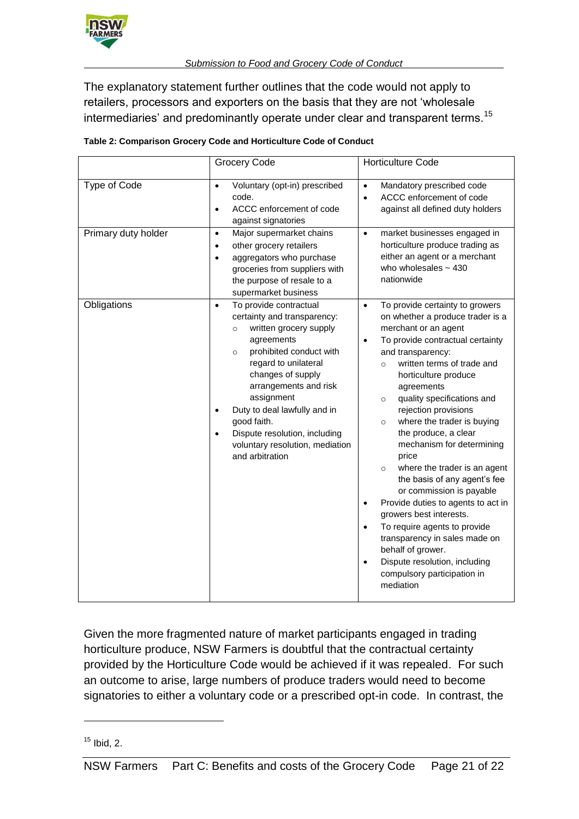

The explanatory statement further outlines that the code would not apply to retailers, processors and exporters on the basis that they are not 'wholesale intermediaries' and predominantly operate under clear and transparent terms.<sup>15</sup>

|                     | Grocery Code                                                                                                                                                                                                                                                                                                                                                                                                    | <b>Horticulture Code</b>                                                                                                                                                                                                                                                                                                                                                                                                                                                                                                                                                                                                                                                                                                                                                                                                |  |  |
|---------------------|-----------------------------------------------------------------------------------------------------------------------------------------------------------------------------------------------------------------------------------------------------------------------------------------------------------------------------------------------------------------------------------------------------------------|-------------------------------------------------------------------------------------------------------------------------------------------------------------------------------------------------------------------------------------------------------------------------------------------------------------------------------------------------------------------------------------------------------------------------------------------------------------------------------------------------------------------------------------------------------------------------------------------------------------------------------------------------------------------------------------------------------------------------------------------------------------------------------------------------------------------------|--|--|
| Type of Code        | Voluntary (opt-in) prescribed<br>$\bullet$<br>code.<br>ACCC enforcement of code<br>$\bullet$<br>against signatories                                                                                                                                                                                                                                                                                             | Mandatory prescribed code<br>$\bullet$<br>ACCC enforcement of code<br>$\bullet$<br>against all defined duty holders                                                                                                                                                                                                                                                                                                                                                                                                                                                                                                                                                                                                                                                                                                     |  |  |
| Primary duty holder | Major supermarket chains<br>$\bullet$<br>other grocery retailers<br>$\bullet$<br>aggregators who purchase<br>$\bullet$<br>groceries from suppliers with<br>the purpose of resale to a<br>supermarket business                                                                                                                                                                                                   | market businesses engaged in<br>$\bullet$<br>horticulture produce trading as<br>either an agent or a merchant<br>who wholesales $\sim$ 430<br>nationwide                                                                                                                                                                                                                                                                                                                                                                                                                                                                                                                                                                                                                                                                |  |  |
| Obligations         | To provide contractual<br>$\bullet$<br>certainty and transparency:<br>written grocery supply<br>$\circ$<br>agreements<br>prohibited conduct with<br>$\circ$<br>regard to unilateral<br>changes of supply<br>arrangements and risk<br>assignment<br>Duty to deal lawfully and in<br>$\bullet$<br>good faith.<br>Dispute resolution, including<br>$\bullet$<br>voluntary resolution, mediation<br>and arbitration | To provide certainty to growers<br>$\bullet$<br>on whether a produce trader is a<br>merchant or an agent<br>To provide contractual certainty<br>$\bullet$<br>and transparency:<br>written terms of trade and<br>$\circ$<br>horticulture produce<br>agreements<br>quality specifications and<br>$\circ$<br>rejection provisions<br>where the trader is buying<br>$\circ$<br>the produce, a clear<br>mechanism for determining<br>price<br>where the trader is an agent<br>$\circ$<br>the basis of any agent's fee<br>or commission is payable<br>Provide duties to agents to act in<br>$\bullet$<br>growers best interests.<br>To require agents to provide<br>$\bullet$<br>transparency in sales made on<br>behalf of grower.<br>Dispute resolution, including<br>$\bullet$<br>compulsory participation in<br>mediation |  |  |

Given the more fragmented nature of market participants engaged in trading horticulture produce, NSW Farmers is doubtful that the contractual certainty provided by the Horticulture Code would be achieved if it was repealed. For such an outcome to arise, large numbers of produce traders would need to become signatories to either a voluntary code or a prescribed opt-in code. In contrast, the

 $15$  Ibid, 2.